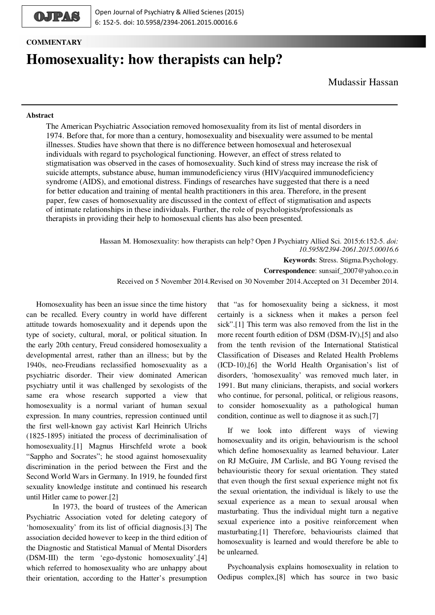

**COMMENTARY**

# **Homosexuality: how therapists can help?**

## **Abstract**

The American Psychiatric Association removed homosexuality from its list of mental disorders in 1974. Before that, for more than a century, homosexuality and bisexuality were assumed to be mental illnesses. Studies have shown that there is no difference between homosexual and heterosexual individuals with regard to psychological functioning. However, an effect of stress related to stigmatisation was observed in the cases of homosexuality. Such kind of stress may increase the risk of suicide attempts, substance abuse, human immunodeficiency virus (HIV)/acquired immunodeficiency syndrome (AIDS), and emotional distress. Findings of researches have suggested that there is a need for better education and training of mental health practitioners in this area. Therefore, in the present paper, few cases of homosexuality are discussed in the context of effect of stigmatisation and aspects of intimate relationships in these individuals. Further, the role of psychologists/professionals as therapists in providing their help to homosexual clients has also been presented.

> Hassan M. Homosexuality: how therapists can help? Open J Psychiatry Allied Sci. 2015;6:152-5. *doi: 10.5958/2394-2061.2015.00016.6*

> > **Keywords**: Stress. Stigma.Psychology.

**Correspondence**: sunsaif\_2007@yahoo.co.in

Received on 5 November 2014.Revised on 30 November 2014.Accepted on 31 December 2014.

Homosexuality has been an issue since the time history can be recalled. Every country in world have different attitude towards homosexuality and it depends upon the type of society, cultural, moral, or political situation. In the early 20th century, Freud considered homosexuality a developmental arrest, rather than an illness; but by the 1940s, neo-Freudians reclassified homosexuality as a psychiatric disorder. Their view dominated American psychiatry until it was challenged by sexologists of the same era whose research supported a view that homosexuality is a normal variant of human sexual expression. In many countries, repression continued until the first well-known gay activist Karl Heinrich Ulrichs (1825-1895) initiated the process of decriminalisation of homosexuality.[1] Magnus Hirschfeld wrote a book "Sappho and Socrates"; he stood against homosexuality discrimination in the period between the First and the Second World Wars in Germany. In 1919, he founded first sexuality knowledge institute and continued his research until Hitler came to power.[2]

 In 1973, the board of trustees of the American Psychiatric Association voted for deleting category of 'homosexuality' from its list of official diagnosis.[3] The association decided however to keep in the third edition of the Diagnostic and Statistical Manual of Mental Disorders (DSM-III) the term 'ego-dystonic homosexuality',[4] which referred to homosexuality who are unhappy about their orientation, according to the Hatter's presumption

that "as for homosexuality being a sickness, it most certainly is a sickness when it makes a person feel sick".[1] This term was also removed from the list in the more recent fourth edition of DSM (DSM-IV),[5] and also from the tenth revision of the International Statistical Classification of Diseases and Related Health Problems (ICD-10),[6] the World Health Organisation's list of disorders, 'homosexuality' was removed much later, in 1991. But many clinicians, therapists, and social workers who continue, for personal, political, or religious reasons, to consider homosexuality as a pathological human condition, continue as well to diagnose it as such.[7]

If we look into different ways of viewing homosexuality and its origin, behaviourism is the school which define homosexuality as learned behaviour. Later on RJ McGuire, JM Carlisle, and BG Young revised the behaviouristic theory for sexual orientation. They stated that even though the first sexual experience might not fix the sexual orientation, the individual is likely to use the sexual experience as a mean to sexual arousal when masturbating. Thus the individual might turn a negative sexual experience into a positive reinforcement when masturbating.[1] Therefore, behaviourists claimed that homosexuality is learned and would therefore be able to be unlearned.

Psychoanalysis explains homosexuality in relation to Oedipus complex,[8] which has source in two basic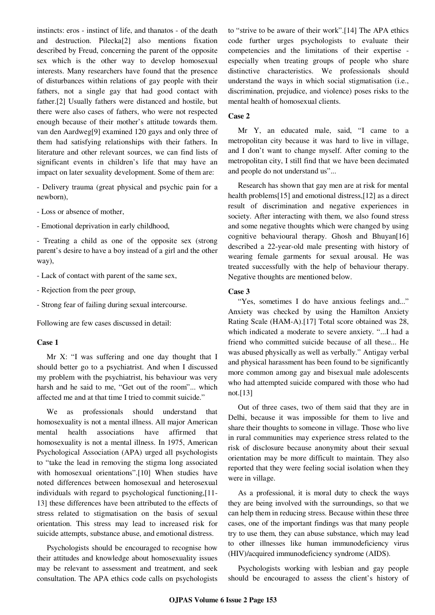instincts: eros - instinct of life, and thanatos - of the death and destruction. Pilecka[2] also mentions fixation described by Freud, concerning the parent of the opposite sex which is the other way to develop homosexual interests. Many researchers have found that the presence of disturbances within relations of gay people with their fathers, not a single gay that had good contact with father.[2] Usually fathers were distanced and hostile, but there were also cases of fathers, who were not respected enough because of their mother's attitude towards them. van den Aardweg[9] examined 120 gays and only three of them had satisfying relationships with their fathers. In literature and other relevant sources, we can find lists of significant events in children's life that may have an impact on later sexuality development. Some of them are:

- Delivery trauma (great physical and psychic pain for a newborn),

- Loss or absence of mother,
- Emotional deprivation in early childhood,

- Treating a child as one of the opposite sex (strong parent's desire to have a boy instead of a girl and the other way),

- Lack of contact with parent of the same sex,
- Rejection from the peer group,
- Strong fear of failing during sexual intercourse.

Following are few cases discussed in detail:

### **Case 1**

Mr X: "I was suffering and one day thought that I should better go to a psychiatrist. And when I discussed my problem with the psychiatrist, his behaviour was very harsh and he said to me, "Get out of the room"... which affected me and at that time I tried to commit suicide."

We as professionals should understand that homosexuality is not a mental illness. All major American mental health associations have affirmed that homosexuality is not a mental illness. In 1975, American Psychological Association (APA) urged all psychologists to "take the lead in removing the stigma long associated with homosexual orientations".[10] When studies have noted differences between homosexual and heterosexual individuals with regard to psychological functioning,[11- 13] these differences have been attributed to the effects of stress related to stigmatisation on the basis of sexual orientation. This stress may lead to increased risk for suicide attempts, substance abuse, and emotional distress.

Psychologists should be encouraged to recognise how their attitudes and knowledge about homosexuality issues may be relevant to assessment and treatment, and seek consultation. The APA ethics code calls on psychologists to "strive to be aware of their work".[14] The APA ethics code further urges psychologists to evaluate their competencies and the limitations of their expertise especially when treating groups of people who share distinctive characteristics. We professionals should understand the ways in which social stigmatisation (i.e., discrimination, prejudice, and violence) poses risks to the mental health of homosexual clients.

## **Case 2**

Mr Y, an educated male, said, "I came to a metropolitan city because it was hard to live in village, and I don't want to change myself. After coming to the metropolitan city, I still find that we have been decimated and people do not understand us"...

Research has shown that gay men are at risk for mental health problems[15] and emotional distress,[12] as a direct result of discrimination and negative experiences in society. After interacting with them, we also found stress and some negative thoughts which were changed by using cognitive behavioural therapy. Ghosh and Bhuyan[16] described a 22-year-old male presenting with history of wearing female garments for sexual arousal. He was treated successfully with the help of behaviour therapy. Negative thoughts are mentioned below.

## **Case 3**

"Yes, sometimes I do have anxious feelings and..." Anxiety was checked by using the Hamilton Anxiety Rating Scale (HAM-A).[17] Total score obtained was 28, which indicated a moderate to severe anxiety. "...I had a friend who committed suicide because of all these... He was abused physically as well as verbally." Antigay verbal and physical harassment has been found to be significantly more common among gay and bisexual male adolescents who had attempted suicide compared with those who had not.[13]

Out of three cases, two of them said that they are in Delhi, because it was impossible for them to live and share their thoughts to someone in village. Those who live in rural communities may experience stress related to the risk of disclosure because anonymity about their sexual orientation may be more difficult to maintain. They also reported that they were feeling social isolation when they were in village.

As a professional, it is moral duty to check the ways they are being involved with the surroundings, so that we can help them in reducing stress. Because within these three cases, one of the important findings was that many people try to use them, they can abuse substance, which may lead to other illnesses like human immunodeficiency virus (HIV)/acquired immunodeficiency syndrome (AIDS).

Psychologists working with lesbian and gay people should be encouraged to assess the client's history of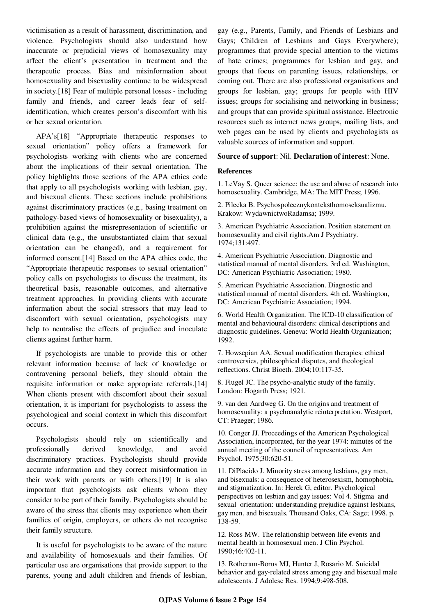victimisation as a result of harassment, discrimination, and violence. Psychologists should also understand how inaccurate or prejudicial views of homosexuality may affect the client's presentation in treatment and the therapeutic process. Bias and misinformation about homosexuality and bisexuality continue to be widespread in society.[18] Fear of multiple personal losses - including family and friends, and career leads fear of selfidentification, which creates person's discomfort with his or her sexual orientation.

APA's[18] "Appropriate therapeutic responses to sexual orientation" policy offers a framework for psychologists working with clients who are concerned about the implications of their sexual orientation. The policy highlights those sections of the APA ethics code that apply to all psychologists working with lesbian, gay, and bisexual clients. These sections include prohibitions against discriminatory practices (e.g., basing treatment on pathology-based views of homosexuality or bisexuality), a prohibition against the misrepresentation of scientific or clinical data (e.g., the unsubstantiated claim that sexual orientation can be changed), and a requirement for informed consent.[14] Based on the APA ethics code, the "Appropriate therapeutic responses to sexual orientation" policy calls on psychologists to discuss the treatment, its theoretical basis, reasonable outcomes, and alternative treatment approaches. In providing clients with accurate information about the social stressors that may lead to discomfort with sexual orientation, psychologists may help to neutralise the effects of prejudice and inoculate clients against further harm.

If psychologists are unable to provide this or other relevant information because of lack of knowledge or contravening personal beliefs, they should obtain the requisite information or make appropriate referrals.[14] When clients present with discomfort about their sexual orientation, it is important for psychologists to assess the psychological and social context in which this discomfort occurs.

Psychologists should rely on scientifically and professionally derived knowledge, and avoid discriminatory practices. Psychologists should provide accurate information and they correct misinformation in their work with parents or with others.[19] It is also important that psychologists ask clients whom they consider to be part of their family. Psychologists should be aware of the stress that clients may experience when their families of origin, employers, or others do not recognise their family structure.

It is useful for psychologists to be aware of the nature and availability of homosexuals and their families. Of particular use are organisations that provide support to the parents, young and adult children and friends of lesbian, gay (e.g., Parents, Family, and Friends of Lesbians and Gays; Children of Lesbians and Gays Everywhere); programmes that provide special attention to the victims of hate crimes; programmes for lesbian and gay, and groups that focus on parenting issues, relationships, or coming out. There are also professional organisations and groups for lesbian, gay; groups for people with HIV issues; groups for socialising and networking in business; and groups that can provide spiritual assistance. Electronic resources such as internet news groups, mailing lists, and web pages can be used by clients and psychologists as valuable sources of information and support.

#### **Source of support**: Nil. **Declaration of interest**: None.

#### **References**

1. LeVay S. Queer science: the use and abuse of research into homosexuality. Cambridge, MA: The MIT Press; 1996.

2. Pilecka B. Psychospołecznykonteksthomoseksualizmu. Krakow: WydawnictwoRadamsa; 1999.

3. American Psychiatric Association. Position statement on homosexuality and civil rights.Am J Psychiatry. 1974;131:497.

4. American Psychiatric Association. Diagnostic and statistical manual of mental disorders. 3rd ed. Washington, DC: American Psychiatric Association; 1980.

5. American Psychiatric Association. Diagnostic and statistical manual of mental disorders. 4th ed. Washington, DC: American Psychiatric Association; 1994.

6. World Health Organization. The ICD-10 classification of mental and behavioural disorders: clinical descriptions and diagnostic guidelines. Geneva: World Health Organization; 1992.

7. Howsepian AA. Sexual modification therapies: ethical controversies, philosophical disputes, and theological reflections. Christ Bioeth. 2004;10:117-35.

8. Flugel JC. The psycho-analytic study of the family. London: Hogarth Press; 1921.

9. van den Aardweg G. On the origins and treatment of homosexuality: a psychoanalytic reinterpretation. Westport, CT: Praeger; 1986.

10. Conger JJ. Proceedings of the American Psychological Association, incorporated, for the year 1974: minutes of the annual meeting of the council of representatives. Am Psychol. 1975;30:620-51.

11. DiPlacido J. Minority stress among lesbians, gay men, and bisexuals: a consequence of heterosexism, homophobia, and stigmatization. In: Herek G, editor. Psychological perspectives on lesbian and gay issues: Vol 4. Stigma and sexual orientation: understanding prejudice against lesbians, gay men, and bisexuals. Thousand Oaks, CA: Sage; 1998. p. 138-59.

12. Ross MW. The relationship between life events and mental health in homosexual men. J Clin Psychol. 1990;46:402-11.

13. Rotheram-Borus MJ, Hunter J, Rosario M. Suicidal behavior and gay-related stress among gay and bisexual male adolescents. J Adolesc Res. 1994;9:498-508.